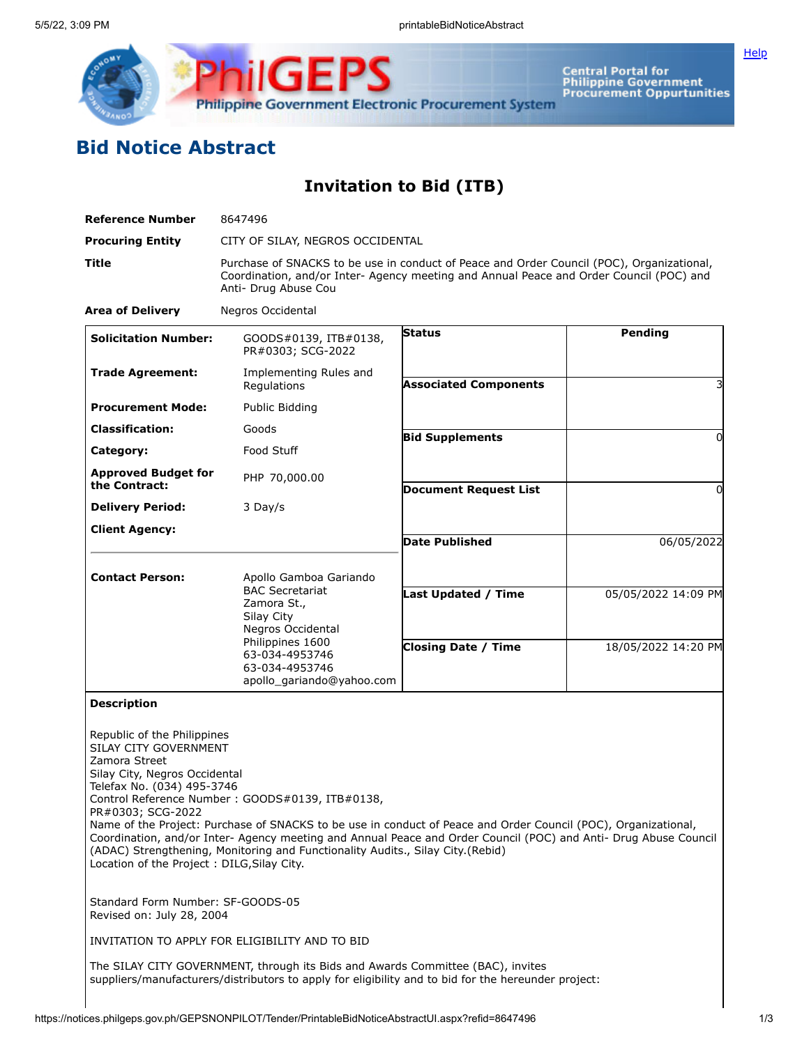

**Central Portal for<br>Philippine Government<br>Procurement Oppurtunities** 

**[Help](javascript:void(window.open()** 

## **Bid Notice Abstract**

**Invitation to Bid (ITB)**

| <b>Reference Number</b>                                                                                                                                                                                 | 8647496                                                                                                                                                                                                                                                                                                                                                                |                              |                     |
|---------------------------------------------------------------------------------------------------------------------------------------------------------------------------------------------------------|------------------------------------------------------------------------------------------------------------------------------------------------------------------------------------------------------------------------------------------------------------------------------------------------------------------------------------------------------------------------|------------------------------|---------------------|
| <b>Procuring Entity</b>                                                                                                                                                                                 | CITY OF SILAY, NEGROS OCCIDENTAL                                                                                                                                                                                                                                                                                                                                       |                              |                     |
| <b>Title</b>                                                                                                                                                                                            | Purchase of SNACKS to be use in conduct of Peace and Order Council (POC), Organizational,<br>Coordination, and/or Inter- Agency meeting and Annual Peace and Order Council (POC) and<br>Anti- Drug Abuse Cou                                                                                                                                                           |                              |                     |
| <b>Area of Delivery</b>                                                                                                                                                                                 | Negros Occidental                                                                                                                                                                                                                                                                                                                                                      |                              |                     |
| <b>Solicitation Number:</b>                                                                                                                                                                             | GOODS#0139, ITB#0138,<br>PR#0303; SCG-2022                                                                                                                                                                                                                                                                                                                             | <b>Status</b>                | Pending             |
| <b>Trade Agreement:</b>                                                                                                                                                                                 | Implementing Rules and<br>Regulations                                                                                                                                                                                                                                                                                                                                  | <b>Associated Components</b> | 3                   |
| <b>Procurement Mode:</b>                                                                                                                                                                                | Public Bidding                                                                                                                                                                                                                                                                                                                                                         |                              |                     |
| <b>Classification:</b>                                                                                                                                                                                  | Goods                                                                                                                                                                                                                                                                                                                                                                  | <b>Bid Supplements</b>       | 0                   |
| Category:                                                                                                                                                                                               | Food Stuff                                                                                                                                                                                                                                                                                                                                                             |                              |                     |
| <b>Approved Budget for</b><br>the Contract:                                                                                                                                                             | PHP 70,000.00                                                                                                                                                                                                                                                                                                                                                          |                              |                     |
|                                                                                                                                                                                                         | 3 Day/s                                                                                                                                                                                                                                                                                                                                                                | <b>Document Request List</b> | 0                   |
| <b>Delivery Period:</b>                                                                                                                                                                                 |                                                                                                                                                                                                                                                                                                                                                                        |                              |                     |
| <b>Client Agency:</b>                                                                                                                                                                                   |                                                                                                                                                                                                                                                                                                                                                                        | Date Published               | 06/05/2022          |
|                                                                                                                                                                                                         |                                                                                                                                                                                                                                                                                                                                                                        |                              |                     |
| <b>Contact Person:</b>                                                                                                                                                                                  | Apollo Gamboa Gariando<br><b>BAC Secretariat</b>                                                                                                                                                                                                                                                                                                                       | <b>Last Updated / Time</b>   | 05/05/2022 14:09 PM |
|                                                                                                                                                                                                         | Zamora St.,<br>Silay City                                                                                                                                                                                                                                                                                                                                              |                              |                     |
|                                                                                                                                                                                                         | Negros Occidental                                                                                                                                                                                                                                                                                                                                                      |                              |                     |
|                                                                                                                                                                                                         | Philippines 1600<br>63-034-4953746<br>63-034-4953746<br>apollo_gariando@yahoo.com                                                                                                                                                                                                                                                                                      | <b>Closing Date / Time</b>   | 18/05/2022 14:20 PM |
| <b>Description</b>                                                                                                                                                                                      |                                                                                                                                                                                                                                                                                                                                                                        |                              |                     |
| Republic of the Philippines<br>SILAY CITY GOVERNMENT<br>Zamora Street<br>Silay City, Negros Occidental<br>Telefax No. (034) 495-3746<br>PR#0303; SCG-2022<br>Location of the Project: DILG, Silay City. | Control Reference Number: GOODS#0139, ITB#0138<br>Name of the Project: Purchase of SNACKS to be use in conduct of Peace and Order Council (POC), Organizational,<br>Coordination, and/or Inter- Agency meeting and Annual Peace and Order Council (POC) and Anti- Drug Abuse Council<br>(ADAC) Strengthening, Monitoring and Functionality Audits., Silay City (Rebid) |                              |                     |
| Standard Form Number: SF-GOODS-05<br>Revised on: July 28, 2004                                                                                                                                          |                                                                                                                                                                                                                                                                                                                                                                        |                              |                     |
|                                                                                                                                                                                                         | INVITATION TO APPLY FOR ELIGIBILITY AND TO BID                                                                                                                                                                                                                                                                                                                         |                              |                     |
|                                                                                                                                                                                                         | The SILAY CITY GOVERNMENT, through its Bids and Awards Committee (BAC), invites<br>suppliers/manufacturers/distributors to apply for eligibility and to bid for the hereunder project:                                                                                                                                                                                 |                              |                     |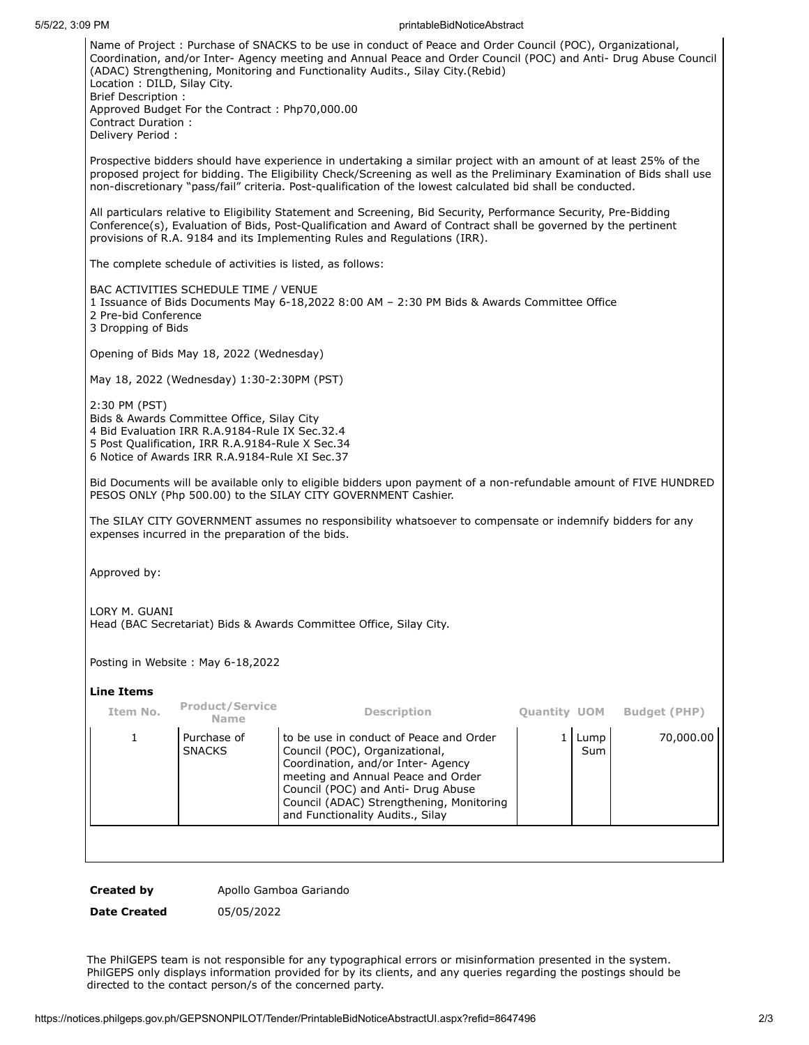## 5/5/22, 3:09 PM printableBidNoticeAbstract

| Name of Project: Purchase of SNACKS to be use in conduct of Peace and Order Council (POC), Organizational,<br>Coordination, and/or Inter- Agency meeting and Annual Peace and Order Council (POC) and Anti- Drug Abuse Council<br>(ADAC) Strengthening, Monitoring and Functionality Audits., Silay City.(Rebid)<br>Location: DILD, Silay City.<br><b>Brief Description:</b> |                     |  |  |  |
|------------------------------------------------------------------------------------------------------------------------------------------------------------------------------------------------------------------------------------------------------------------------------------------------------------------------------------------------------------------------------|---------------------|--|--|--|
| Approved Budget For the Contract: Php70,000.00<br>Contract Duration:<br>Delivery Period :                                                                                                                                                                                                                                                                                    |                     |  |  |  |
| Prospective bidders should have experience in undertaking a similar project with an amount of at least 25% of the<br>proposed project for bidding. The Eligibility Check/Screening as well as the Preliminary Examination of Bids shall use<br>non-discretionary "pass/fail" criteria. Post-qualification of the lowest calculated bid shall be conducted.                   |                     |  |  |  |
| All particulars relative to Eligibility Statement and Screening, Bid Security, Performance Security, Pre-Bidding<br>Conference(s), Evaluation of Bids, Post-Qualification and Award of Contract shall be governed by the pertinent<br>provisions of R.A. 9184 and its Implementing Rules and Regulations (IRR).                                                              |                     |  |  |  |
| The complete schedule of activities is listed, as follows:                                                                                                                                                                                                                                                                                                                   |                     |  |  |  |
| BAC ACTIVITIES SCHEDULE TIME / VENUE<br>1 Issuance of Bids Documents May 6-18,2022 8:00 AM - 2:30 PM Bids & Awards Committee Office<br>2 Pre-bid Conference<br>3 Dropping of Bids                                                                                                                                                                                            |                     |  |  |  |
| Opening of Bids May 18, 2022 (Wednesday)                                                                                                                                                                                                                                                                                                                                     |                     |  |  |  |
| May 18, 2022 (Wednesday) 1:30-2:30PM (PST)                                                                                                                                                                                                                                                                                                                                   |                     |  |  |  |
| 2:30 PM (PST)<br>Bids & Awards Committee Office, Silay City<br>4 Bid Evaluation IRR R.A.9184-Rule IX Sec.32.4<br>5 Post Qualification, IRR R.A.9184-Rule X Sec.34<br>6 Notice of Awards IRR R.A.9184-Rule XI Sec.37                                                                                                                                                          |                     |  |  |  |
| Bid Documents will be available only to eligible bidders upon payment of a non-refundable amount of FIVE HUNDRED<br>PESOS ONLY (Php 500.00) to the SILAY CITY GOVERNMENT Cashier.                                                                                                                                                                                            |                     |  |  |  |
| The SILAY CITY GOVERNMENT assumes no responsibility whatsoever to compensate or indemnify bidders for any<br>expenses incurred in the preparation of the bids.                                                                                                                                                                                                               |                     |  |  |  |
| Approved by:                                                                                                                                                                                                                                                                                                                                                                 |                     |  |  |  |
| LORY M. GUANI<br>Head (BAC Secretariat) Bids & Awards Committee Office, Silay City.                                                                                                                                                                                                                                                                                          |                     |  |  |  |
| Posting in Website: May 6-18,2022                                                                                                                                                                                                                                                                                                                                            |                     |  |  |  |
| <b>Line Items</b>                                                                                                                                                                                                                                                                                                                                                            |                     |  |  |  |
| <b>Product/Service</b><br>Item No.<br><b>Description</b><br><b>Quantity UOM</b><br>Name                                                                                                                                                                                                                                                                                      | <b>Budget (PHP)</b> |  |  |  |
| $\mathbf{1}$<br>1<br>Purchase of<br>to be use in conduct of Peace and Order<br>Lump<br><b>SNACKS</b><br>Council (POC), Organizational,<br>Sum<br>Coordination, and/or Inter- Agency<br>meeting and Annual Peace and Order<br>Council (POC) and Anti- Drug Abuse<br>Council (ADAC) Strengthening, Monitoring<br>and Functionality Audits., Silay                              | 70,000.00           |  |  |  |
|                                                                                                                                                                                                                                                                                                                                                                              |                     |  |  |  |

**Created by** Apollo Gamboa Gariando

**Date Created** 05/05/2022

The PhilGEPS team is not responsible for any typographical errors or misinformation presented in the system. PhilGEPS only displays information provided for by its clients, and any queries regarding the postings should be directed to the contact person/s of the concerned party.